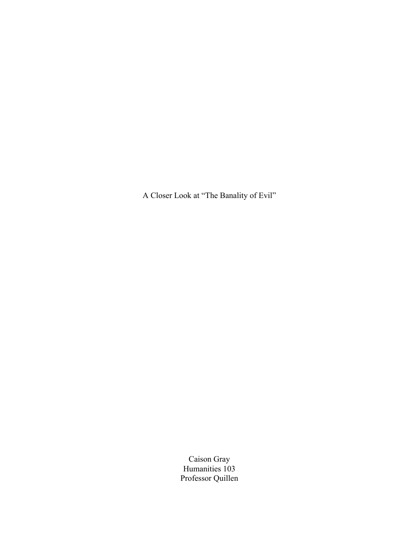A Closer Look at "The Banality of Evil"

Caison Gray Humanities 103 Professor Quillen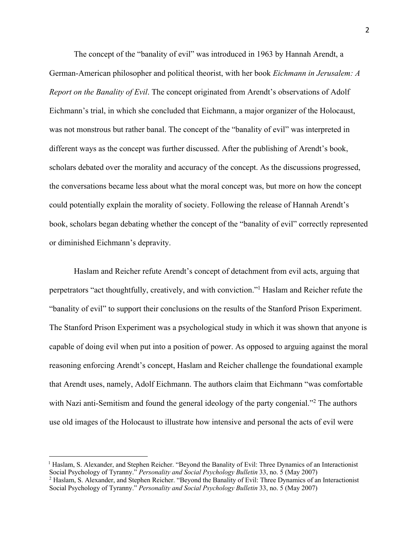The concept of the "banality of evil" was introduced in 1963 by Hannah Arendt, a German-American philosopher and political theorist, with her book *Eichmann in Jerusalem: A Report on the Banality of Evil*. The concept originated from Arendt's observations of Adolf Eichmann's trial, in which she concluded that Eichmann, a major organizer of the Holocaust, was not monstrous but rather banal. The concept of the "banality of evil" was interpreted in different ways as the concept was further discussed. After the publishing of Arendt's book, scholars debated over the morality and accuracy of the concept. As the discussions progressed, the conversations became less about what the moral concept was, but more on how the concept could potentially explain the morality of society. Following the release of Hannah Arendt's book, scholars began debating whether the concept of the "banality of evil" correctly represented or diminished Eichmann's depravity.

Haslam and Reicher refute Arendt's concept of detachment from evil acts, arguing that perpetrators "act thoughtfully, creatively, and with conviction."1 Haslam and Reicher refute the "banality of evil" to support their conclusions on the results of the Stanford Prison Experiment. The Stanford Prison Experiment was a psychological study in which it was shown that anyone is capable of doing evil when put into a position of power. As opposed to arguing against the moral reasoning enforcing Arendt's concept, Haslam and Reicher challenge the foundational example that Arendt uses, namely, Adolf Eichmann. The authors claim that Eichmann "was comfortable with Nazi anti-Semitism and found the general ideology of the party congenial."<sup>2</sup> The authors use old images of the Holocaust to illustrate how intensive and personal the acts of evil were

 $<sup>1</sup>$  Haslam, S. Alexander, and Stephen Reicher. "Beyond the Banality of Evil: Three Dynamics of an Interactionist</sup> Social Psychology of Tyranny." *Personality and Social Psychology Bulletin* 33, no. 5 (May 2007)

<sup>&</sup>lt;sup>2</sup> Haslam, S. Alexander, and Stephen Reicher. "Beyond the Banality of Evil: Three Dynamics of an Interactionist Social Psychology of Tyranny." *Personality and Social Psychology Bulletin* 33, no. 5 (May 2007)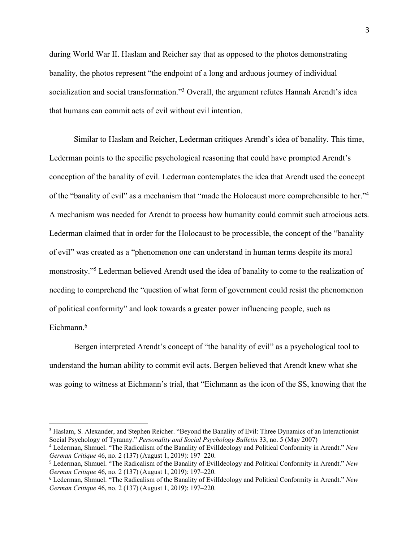during World War II. Haslam and Reicher say that as opposed to the photos demonstrating banality, the photos represent "the endpoint of a long and arduous journey of individual socialization and social transformation."<sup>3</sup> Overall, the argument refutes Hannah Arendt's idea that humans can commit acts of evil without evil intention.

Similar to Haslam and Reicher, Lederman critiques Arendt's idea of banality. This time, Lederman points to the specific psychological reasoning that could have prompted Arendt's conception of the banality of evil. Lederman contemplates the idea that Arendt used the concept of the "banality of evil" as a mechanism that "made the Holocaust more comprehensible to her."4 A mechanism was needed for Arendt to process how humanity could commit such atrocious acts. Lederman claimed that in order for the Holocaust to be processible, the concept of the "banality of evil" was created as a "phenomenon one can understand in human terms despite its moral monstrosity."5 Lederman believed Arendt used the idea of banality to come to the realization of needing to comprehend the "question of what form of government could resist the phenomenon of political conformity" and look towards a greater power influencing people, such as Eichmann.<sup>6</sup>

Bergen interpreted Arendt's concept of "the banality of evil" as a psychological tool to understand the human ability to commit evil acts. Bergen believed that Arendt knew what she was going to witness at Eichmann's trial, that "Eichmann as the icon of the SS, knowing that the

<sup>3</sup> Haslam, S. Alexander, and Stephen Reicher. "Beyond the Banality of Evil: Three Dynamics of an Interactionist Social Psychology of Tyranny." *Personality and Social Psychology Bulletin* 33, no. 5 (May 2007)

<sup>4</sup> Lederman, Shmuel. "The Radicalism of the Banality of EvilIdeology and Political Conformity in Arendt." *New German Critique* 46, no. 2 (137) (August 1, 2019): 197–220.

<sup>5</sup> Lederman, Shmuel. "The Radicalism of the Banality of EvilIdeology and Political Conformity in Arendt." *New German Critique* 46, no. 2 (137) (August 1, 2019): 197–220.

<sup>6</sup> Lederman, Shmuel. "The Radicalism of the Banality of EvilIdeology and Political Conformity in Arendt." *New German Critique* 46, no. 2 (137) (August 1, 2019): 197–220.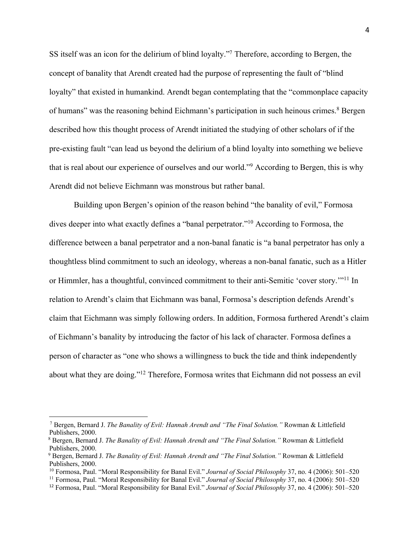SS itself was an icon for the delirium of blind loyalty."7 Therefore, according to Bergen, the concept of banality that Arendt created had the purpose of representing the fault of "blind loyalty" that existed in humankind. Arendt began contemplating that the "commonplace capacity of humans" was the reasoning behind Eichmann's participation in such heinous crimes.<sup>8</sup> Bergen described how this thought process of Arendt initiated the studying of other scholars of if the pre-existing fault "can lead us beyond the delirium of a blind loyalty into something we believe that is real about our experience of ourselves and our world."9 According to Bergen, this is why Arendt did not believe Eichmann was monstrous but rather banal.

Building upon Bergen's opinion of the reason behind "the banality of evil," Formosa dives deeper into what exactly defines a "banal perpetrator."10 According to Formosa, the difference between a banal perpetrator and a non-banal fanatic is "a banal perpetrator has only a thoughtless blind commitment to such an ideology, whereas a non‐banal fanatic, such as a Hitler or Himmler, has a thoughtful, convinced commitment to their anti-Semitic 'cover story.'"<sup>11</sup> In relation to Arendt's claim that Eichmann was banal, Formosa's description defends Arendt's claim that Eichmann was simply following orders. In addition, Formosa furthered Arendt's claim of Eichmann's banality by introducing the factor of his lack of character. Formosa defines a person of character as "one who shows a willingness to buck the tide and think independently about what they are doing."12 Therefore, Formosa writes that Eichmann did not possess an evil

 <sup>7</sup> Bergen, Bernard J. *The Banality of Evil: Hannah Arendt and "The Final Solution."* Rowman & Littlefield Publishers, 2000.

 <sup>8</sup> Bergen, Bernard J. *The Banality of Evil: Hannah Arendt and "The Final Solution."* Rowman & Littlefield Publishers, 2000.

 <sup>9</sup> Bergen, Bernard J. *The Banality of Evil: Hannah Arendt and "The Final Solution."* Rowman & Littlefield Publishers, 2000.

<sup>10</sup> Formosa, Paul. "Moral Responsibility for Banal Evil." *Journal of Social Philosophy* 37, no. 4 (2006): 501–520

<sup>11</sup> Formosa, Paul. "Moral Responsibility for Banal Evil." *Journal of Social Philosophy* 37, no. 4 (2006): 501–520

<sup>12</sup> Formosa, Paul. "Moral Responsibility for Banal Evil." *Journal of Social Philosophy* 37, no. 4 (2006): 501–520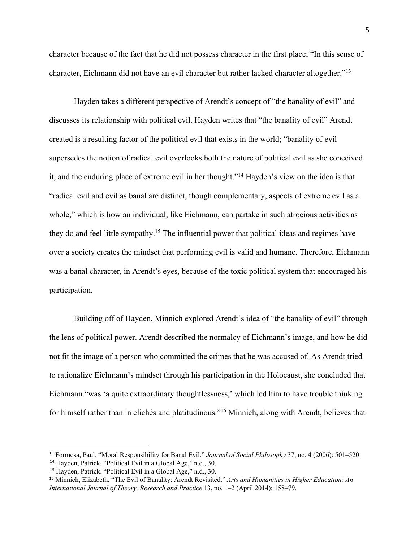character because of the fact that he did not possess character in the first place; "In this sense of character, Eichmann did not have an evil character but rather lacked character altogether."13

Hayden takes a different perspective of Arendt's concept of "the banality of evil" and discusses its relationship with political evil. Hayden writes that "the banality of evil" Arendt created is a resulting factor of the political evil that exists in the world; "banality of evil supersedes the notion of radical evil overlooks both the nature of political evil as she conceived it, and the enduring place of extreme evil in her thought."14 Hayden's view on the idea is that "radical evil and evil as banal are distinct, though complementary, aspects of extreme evil as a whole," which is how an individual, like Eichmann, can partake in such atrocious activities as they do and feel little sympathy.15 The influential power that political ideas and regimes have over a society creates the mindset that performing evil is valid and humane. Therefore, Eichmann was a banal character, in Arendt's eyes, because of the toxic political system that encouraged his participation.

Building off of Hayden, Minnich explored Arendt's idea of "the banality of evil" through the lens of political power. Arendt described the normalcy of Eichmann's image, and how he did not fit the image of a person who committed the crimes that he was accused of. As Arendt tried to rationalize Eichmann's mindset through his participation in the Holocaust, she concluded that Eichmann "was 'a quite extraordinary thoughtlessness,' which led him to have trouble thinking for himself rather than in clichés and platitudinous."16 Minnich, along with Arendt, believes that

<sup>13</sup> Formosa, Paul. "Moral Responsibility for Banal Evil." *Journal of Social Philosophy* 37, no. 4 (2006): 501–520

 <sup>14</sup> Hayden, Patrick. "Political Evil in a Global Age," n.d., 30.

 <sup>15</sup> Hayden, Patrick. "Political Evil in a Global Age," n.d., 30.

<sup>16</sup> Minnich, Elizabeth. "The Evil of Banality: Arendt Revisited." *Arts and Humanities in Higher Education: An International Journal of Theory, Research and Practice* 13, no. 1–2 (April 2014): 158–79.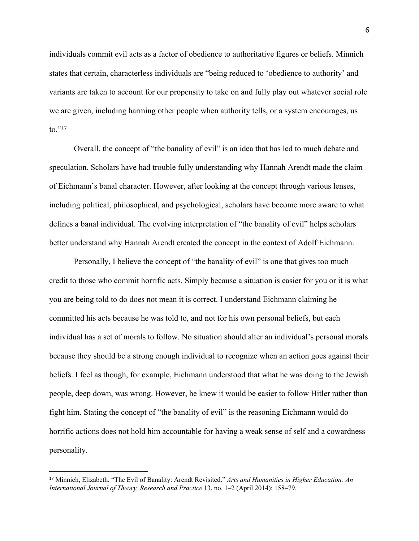individuals commit evil acts as a factor of obedience to authoritative figures or beliefs. Minnich states that certain, characterless individuals are "being reduced to 'obedience to authority' and variants are taken to account for our propensity to take on and fully play out whatever social role we are given, including harming other people when authority tells, or a system encourages, us to." $^{17}$ 

Overall, the concept of "the banality of evil" is an idea that has led to much debate and speculation. Scholars have had trouble fully understanding why Hannah Arendt made the claim of Eichmann's banal character. However, after looking at the concept through various lenses, including political, philosophical, and psychological, scholars have become more aware to what defines a banal individual. The evolving interpretation of "the banality of evil" helps scholars better understand why Hannah Arendt created the concept in the context of Adolf Eichmann.

Personally, I believe the concept of "the banality of evil" is one that gives too much credit to those who commit horrific acts. Simply because a situation is easier for you or it is what you are being told to do does not mean it is correct. I understand Eichmann claiming he committed his acts because he was told to, and not for his own personal beliefs, but each individual has a set of morals to follow. No situation should alter an individual's personal morals because they should be a strong enough individual to recognize when an action goes against their beliefs. I feel as though, for example, Eichmann understood that what he was doing to the Jewish people, deep down, was wrong. However, he knew it would be easier to follow Hitler rather than fight him. Stating the concept of "the banality of evil" is the reasoning Eichmann would do horrific actions does not hold him accountable for having a weak sense of self and a cowardness personality.

<sup>17</sup> Minnich, Elizabeth. "The Evil of Banality: Arendt Revisited." *Arts and Humanities in Higher Education: An International Journal of Theory, Research and Practice* 13, no. 1–2 (April 2014): 158–79.